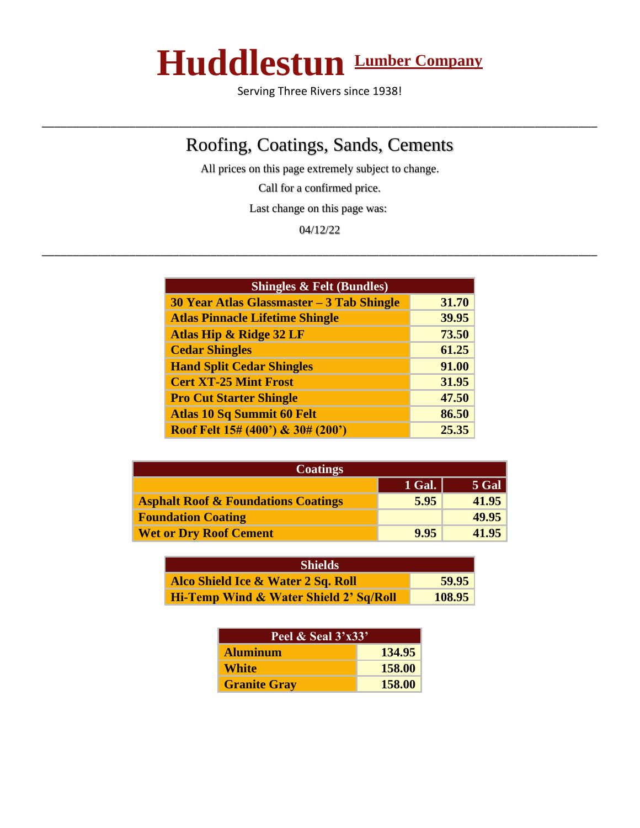## **Huddlestun Lumber Company**

Serving Three Rivers since 1938!

\_\_\_\_\_\_\_\_\_\_\_\_\_\_\_\_\_\_\_\_\_\_\_\_\_\_\_\_\_\_\_\_\_\_\_\_\_\_\_\_\_\_\_\_\_\_\_\_\_\_\_\_\_\_\_\_\_\_\_\_\_\_\_\_\_\_\_\_\_\_\_\_\_\_\_\_\_\_\_\_\_\_\_\_\_\_\_\_\_

## Roofing, Coatings, Sands, Cements

All prices on this page extremely subject to change.

Call for a confirmed price.

Last change on this page was:

04/12/22 \_\_\_\_\_\_\_\_\_\_\_\_\_\_\_\_\_\_\_\_\_\_\_\_\_\_\_\_\_\_\_\_\_\_\_\_\_\_\_\_\_\_\_\_\_\_\_\_\_\_\_\_\_\_\_\_\_\_\_\_\_\_\_\_\_\_\_\_\_\_\_\_\_\_\_\_\_\_\_\_\_\_\_\_\_\_\_\_\_

| <b>Shingles &amp; Felt (Bundles)</b>         |       |
|----------------------------------------------|-------|
| 30 Year Atlas Glassmaster - 3 Tab Shingle    | 31.70 |
| <b>Atlas Pinnacle Lifetime Shingle</b>       | 39.95 |
| <b>Atlas Hip &amp; Ridge 32 LF</b>           | 73.50 |
| <b>Cedar Shingles</b>                        | 61.25 |
| <b>Hand Split Cedar Shingles</b>             | 91.00 |
| <b>Cert XT-25 Mint Frost</b>                 | 31.95 |
| <b>Pro Cut Starter Shingle</b>               | 47.50 |
| <b>Atlas 10 Sq Summit 60 Felt</b>            | 86.50 |
| <b>Roof Felt 15# (400') &amp; 30# (200')</b> | 25.35 |

| <b>Coatings</b>                                |        |         |
|------------------------------------------------|--------|---------|
|                                                | 1 Gal. | $5$ Gal |
| <b>Asphalt Roof &amp; Foundations Coatings</b> | 5.95   | 41.95   |
| <b>Foundation Coating</b>                      |        | 49.95   |
| <b>Wet or Dry Roof Cement</b>                  | 9.95   | 41.95   |

| <b>Shields</b>                                    |        |
|---------------------------------------------------|--------|
| Alco Shield Ice & Water 2 Sq. Roll                | 59.95  |
| <b>Hi-Temp Wind &amp; Water Shield 2' Sq/Roll</b> | 108.95 |

| <b>Peel &amp; Seal 3'x33'</b> |        |
|-------------------------------|--------|
| <b>Aluminum</b>               | 134.95 |
| <b>White</b>                  | 158.00 |
| <b>Granite Gray</b>           | 158.00 |